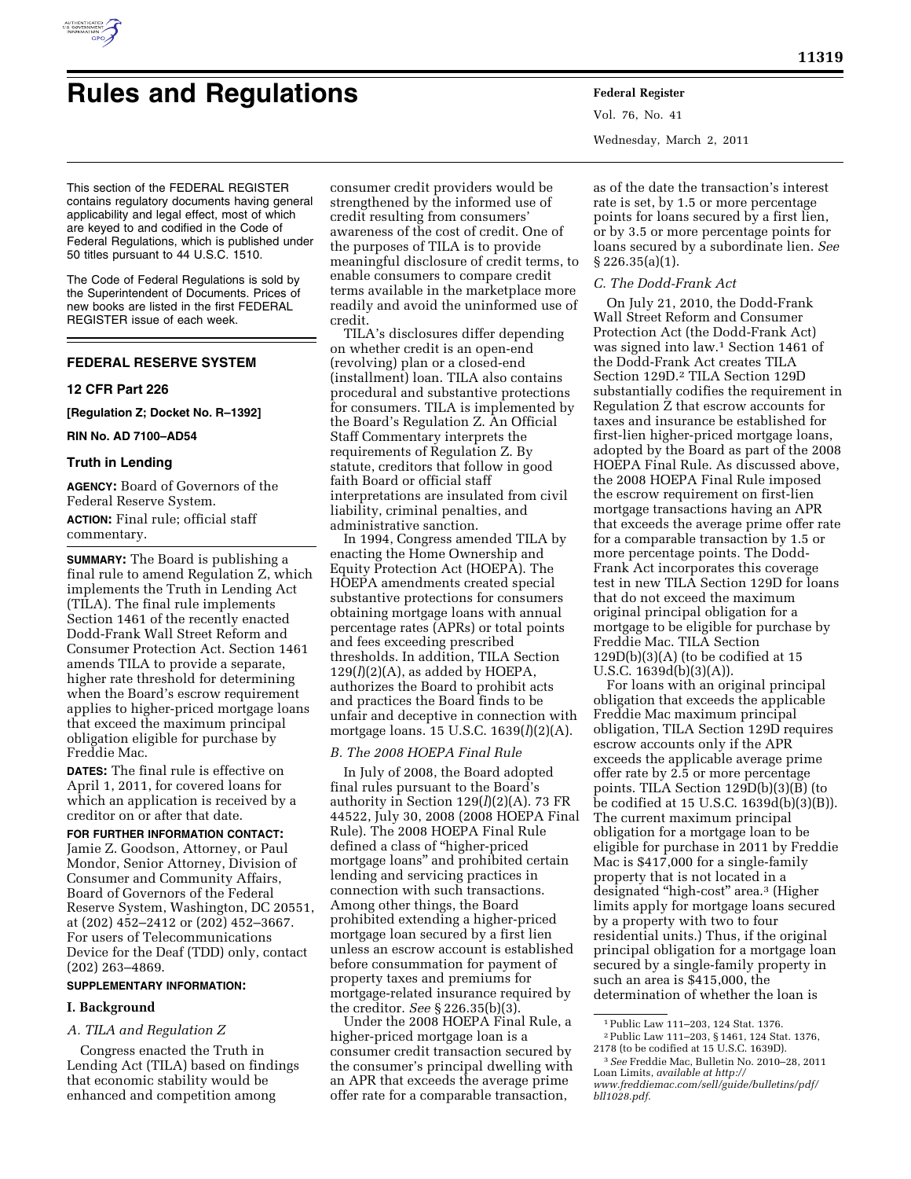

# **Rules and Regulations Federal Register**

Vol. 76, No. 41 Wednesday, March 2, 2011

This section of the FEDERAL REGISTER contains regulatory documents having general applicability and legal effect, most of which are keyed to and codified in the Code of Federal Regulations, which is published under 50 titles pursuant to 44 U.S.C. 1510.

The Code of Federal Regulations is sold by the Superintendent of Documents. Prices of new books are listed in the first FEDERAL REGISTER issue of each week.

# **FEDERAL RESERVE SYSTEM**

#### **12 CFR Part 226**

**[Regulation Z; Docket No. R–1392]** 

# **RIN No. AD 7100–AD54**

#### **Truth in Lending**

**AGENCY:** Board of Governors of the Federal Reserve System. **ACTION:** Final rule; official staff commentary.

**SUMMARY:** The Board is publishing a final rule to amend Regulation Z, which implements the Truth in Lending Act (TILA). The final rule implements Section 1461 of the recently enacted Dodd-Frank Wall Street Reform and Consumer Protection Act. Section 1461 amends TILA to provide a separate, higher rate threshold for determining when the Board's escrow requirement applies to higher-priced mortgage loans that exceed the maximum principal obligation eligible for purchase by Freddie Mac.

**DATES:** The final rule is effective on April 1, 2011, for covered loans for which an application is received by a creditor on or after that date.

**FOR FURTHER INFORMATION CONTACT:**  Jamie Z. Goodson, Attorney, or Paul Mondor, Senior Attorney, Division of Consumer and Community Affairs, Board of Governors of the Federal Reserve System, Washington, DC 20551, at (202) 452–2412 or (202) 452–3667. For users of Telecommunications Device for the Deaf (TDD) only, contact (202) 263–4869.

# **SUPPLEMENTARY INFORMATION:**

#### **I. Background**

# *A. TILA and Regulation Z*

Congress enacted the Truth in Lending Act (TILA) based on findings that economic stability would be enhanced and competition among

consumer credit providers would be strengthened by the informed use of credit resulting from consumers' awareness of the cost of credit. One of the purposes of TILA is to provide meaningful disclosure of credit terms, to enable consumers to compare credit terms available in the marketplace more readily and avoid the uninformed use of credit.

TILA's disclosures differ depending on whether credit is an open-end (revolving) plan or a closed-end (installment) loan. TILA also contains procedural and substantive protections for consumers. TILA is implemented by the Board's Regulation Z. An Official Staff Commentary interprets the requirements of Regulation Z. By statute, creditors that follow in good faith Board or official staff interpretations are insulated from civil liability, criminal penalties, and administrative sanction.

In 1994, Congress amended TILA by enacting the Home Ownership and Equity Protection Act (HOEPA). The HOEPA amendments created special substantive protections for consumers obtaining mortgage loans with annual percentage rates (APRs) or total points and fees exceeding prescribed thresholds. In addition, TILA Section  $129*(l)(2)(A)*$ , as added by HOEPA, authorizes the Board to prohibit acts and practices the Board finds to be unfair and deceptive in connection with mortgage loans. 15 U.S.C. 1639(*l*)(2)(A).

#### *B. The 2008 HOEPA Final Rule*

In July of 2008, the Board adopted final rules pursuant to the Board's authority in Section  $129(l)(2)(A)$ . 73 FR 44522, July 30, 2008 (2008 HOEPA Final Rule). The 2008 HOEPA Final Rule defined a class of ''higher-priced mortgage loans'' and prohibited certain lending and servicing practices in connection with such transactions. Among other things, the Board prohibited extending a higher-priced mortgage loan secured by a first lien unless an escrow account is established before consummation for payment of property taxes and premiums for mortgage-related insurance required by the creditor. *See* § 226.35(b)(3).

Under the 2008 HOEPA Final Rule, a higher-priced mortgage loan is a consumer credit transaction secured by the consumer's principal dwelling with an APR that exceeds the average prime offer rate for a comparable transaction,

as of the date the transaction's interest rate is set, by 1.5 or more percentage points for loans secured by a first lien, or by 3.5 or more percentage points for loans secured by a subordinate lien. *See*   $\S 226.35(a)(1)$ .

#### *C. The Dodd-Frank Act*

On July 21, 2010, the Dodd-Frank Wall Street Reform and Consumer Protection Act (the Dodd-Frank Act) was signed into law.1 Section 1461 of the Dodd-Frank Act creates TILA Section 129D.2 TILA Section 129D substantially codifies the requirement in Regulation Z that escrow accounts for taxes and insurance be established for first-lien higher-priced mortgage loans, adopted by the Board as part of the 2008 HOEPA Final Rule. As discussed above, the 2008 HOEPA Final Rule imposed the escrow requirement on first-lien mortgage transactions having an APR that exceeds the average prime offer rate for a comparable transaction by 1.5 or more percentage points. The Dodd-Frank Act incorporates this coverage test in new TILA Section 129D for loans that do not exceed the maximum original principal obligation for a mortgage to be eligible for purchase by Freddie Mac. TILA Section  $129D(b)(3)(A)$  (to be codified at 15 U.S.C. 1639d(b)(3)(A)).

For loans with an original principal obligation that exceeds the applicable Freddie Mac maximum principal obligation, TILA Section 129D requires escrow accounts only if the APR exceeds the applicable average prime offer rate by 2.5 or more percentage points. TILA Section 129D(b)(3)(B) (to be codified at 15 U.S.C. 1639d(b)(3)(B)). The current maximum principal obligation for a mortgage loan to be eligible for purchase in 2011 by Freddie Mac is \$417,000 for a single-family property that is not located in a designated "high-cost" area.<sup>3</sup> (Higher limits apply for mortgage loans secured by a property with two to four residential units.) Thus, if the original principal obligation for a mortgage loan secured by a single-family property in such an area is \$415,000, the determination of whether the loan is

<sup>1</sup>Public Law 111–203, 124 Stat. 1376. <sup>2</sup>Public Law 111–203, § 1461, 124 Stat. 1376, 2178 (to be codified at 15 U.S.C. 1639D).

<sup>&</sup>lt;sup>3</sup> See Freddie Mac, Bulletin No. 2010–28, 2011 Loan Limits, *available at [http://](http://www.freddiemac.com/sell/guide/bulletins/pdf/bll1028.pdf)* 

*[www.freddiemac.com/sell/guide/bulletins/pdf/](http://www.freddiemac.com/sell/guide/bulletins/pdf/bll1028.pdf) [bll1028.pdf.](http://www.freddiemac.com/sell/guide/bulletins/pdf/bll1028.pdf)*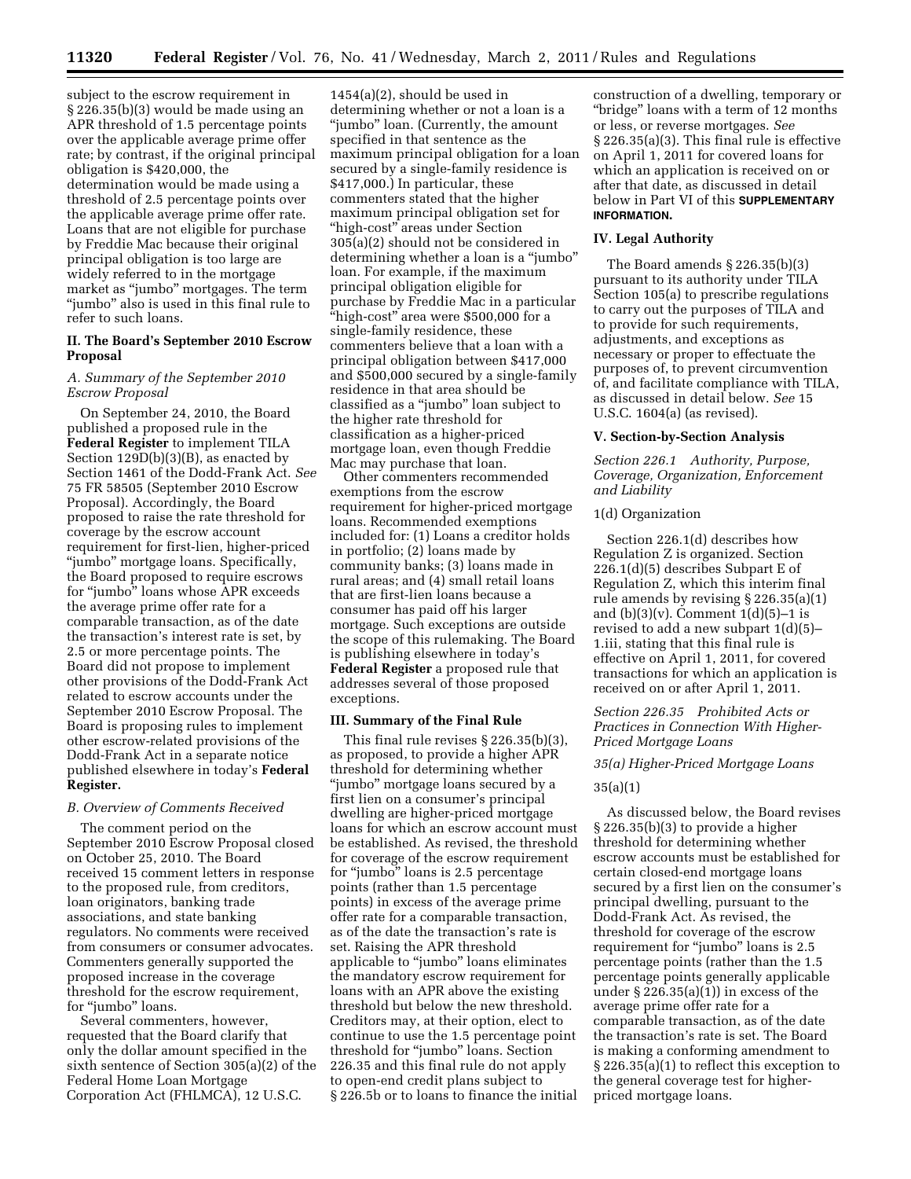subject to the escrow requirement in § 226.35(b)(3) would be made using an APR threshold of 1.5 percentage points over the applicable average prime offer rate; by contrast, if the original principal obligation is \$420,000, the determination would be made using a threshold of 2.5 percentage points over the applicable average prime offer rate. Loans that are not eligible for purchase by Freddie Mac because their original principal obligation is too large are widely referred to in the mortgage market as ''jumbo'' mortgages. The term ''jumbo'' also is used in this final rule to refer to such loans.

## **II. The Board's September 2010 Escrow Proposal**

# *A. Summary of the September 2010 Escrow Proposal*

On September 24, 2010, the Board published a proposed rule in the **Federal Register** to implement TILA Section 129D(b)(3)(B), as enacted by Section 1461 of the Dodd-Frank Act. *See*  75 FR 58505 (September 2010 Escrow Proposal). Accordingly, the Board proposed to raise the rate threshold for coverage by the escrow account requirement for first-lien, higher-priced ''jumbo'' mortgage loans. Specifically, the Board proposed to require escrows for ''jumbo'' loans whose APR exceeds the average prime offer rate for a comparable transaction, as of the date the transaction's interest rate is set, by 2.5 or more percentage points. The Board did not propose to implement other provisions of the Dodd-Frank Act related to escrow accounts under the September 2010 Escrow Proposal. The Board is proposing rules to implement other escrow-related provisions of the Dodd-Frank Act in a separate notice published elsewhere in today's **Federal Register.** 

## *B. Overview of Comments Received*

The comment period on the September 2010 Escrow Proposal closed on October 25, 2010. The Board received 15 comment letters in response to the proposed rule, from creditors, loan originators, banking trade associations, and state banking regulators. No comments were received from consumers or consumer advocates. Commenters generally supported the proposed increase in the coverage threshold for the escrow requirement, for "jumbo" loans.

Several commenters, however, requested that the Board clarify that only the dollar amount specified in the sixth sentence of Section 305(a)(2) of the Federal Home Loan Mortgage Corporation Act (FHLMCA), 12 U.S.C.

1454(a)(2), should be used in determining whether or not a loan is a ''jumbo'' loan. (Currently, the amount specified in that sentence as the maximum principal obligation for a loan secured by a single-family residence is \$417,000.) In particular, these commenters stated that the higher maximum principal obligation set for "high-cost" areas under Section 305(a)(2) should not be considered in determining whether a loan is a ''jumbo'' loan. For example, if the maximum principal obligation eligible for purchase by Freddie Mac in a particular "high-cost" area were \$500,000 for a single-family residence, these commenters believe that a loan with a principal obligation between \$417,000 and \$500,000 secured by a single-family residence in that area should be classified as a ''jumbo'' loan subject to the higher rate threshold for classification as a higher-priced mortgage loan, even though Freddie Mac may purchase that loan.

Other commenters recommended exemptions from the escrow requirement for higher-priced mortgage loans. Recommended exemptions included for: (1) Loans a creditor holds in portfolio; (2) loans made by community banks; (3) loans made in rural areas; and (4) small retail loans that are first-lien loans because a consumer has paid off his larger mortgage. Such exceptions are outside the scope of this rulemaking. The Board is publishing elsewhere in today's **Federal Register** a proposed rule that addresses several of those proposed exceptions.

# **III. Summary of the Final Rule**

This final rule revises § 226.35(b)(3), as proposed, to provide a higher APR threshold for determining whether "jumbo" mortgage loans secured by a first lien on a consumer's principal dwelling are higher-priced mortgage loans for which an escrow account must be established. As revised, the threshold for coverage of the escrow requirement for "jumbo" loans is 2.5 percentage points (rather than 1.5 percentage points) in excess of the average prime offer rate for a comparable transaction, as of the date the transaction's rate is set. Raising the APR threshold applicable to ''jumbo'' loans eliminates the mandatory escrow requirement for loans with an APR above the existing threshold but below the new threshold. Creditors may, at their option, elect to continue to use the 1.5 percentage point threshold for ''jumbo'' loans. Section 226.35 and this final rule do not apply to open-end credit plans subject to § 226.5b or to loans to finance the initial

construction of a dwelling, temporary or ''bridge'' loans with a term of 12 months or less, or reverse mortgages. *See*  § 226.35(a)(3). This final rule is effective on April 1, 2011 for covered loans for which an application is received on or after that date, as discussed in detail below in Part VI of this **SUPPLEMENTARY INFORMATION.** 

#### **IV. Legal Authority**

The Board amends § 226.35(b)(3) pursuant to its authority under TILA Section 105(a) to prescribe regulations to carry out the purposes of TILA and to provide for such requirements, adjustments, and exceptions as necessary or proper to effectuate the purposes of, to prevent circumvention of, and facilitate compliance with TILA, as discussed in detail below. *See* 15 U.S.C. 1604(a) (as revised).

#### **V. Section-by-Section Analysis**

*Section 226.1 Authority, Purpose, Coverage, Organization, Enforcement and Liability* 

#### 1(d) Organization

Section 226.1(d) describes how Regulation Z is organized. Section 226.1(d)(5) describes Subpart E of Regulation Z, which this interim final rule amends by revising § 226.35(a)(1) and  $(b)(3)(v)$ . Comment  $1(d)(5)-1$  is revised to add a new subpart 1(d)(5)– 1.iii, stating that this final rule is effective on April 1, 2011, for covered transactions for which an application is received on or after April 1, 2011.

## *Section 226.35 Prohibited Acts or Practices in Connection With Higher-Priced Mortgage Loans*

#### *35(a) Higher-Priced Mortgage Loans*

#### 35(a)(1)

As discussed below, the Board revises § 226.35(b)(3) to provide a higher threshold for determining whether escrow accounts must be established for certain closed-end mortgage loans secured by a first lien on the consumer's principal dwelling, pursuant to the Dodd-Frank Act. As revised, the threshold for coverage of the escrow requirement for "jumbo" loans is 2.5 percentage points (rather than the 1.5 percentage points generally applicable under  $\S 226.35(a)(1)$  in excess of the average prime offer rate for a comparable transaction, as of the date the transaction's rate is set. The Board is making a conforming amendment to § 226.35(a)(1) to reflect this exception to the general coverage test for higherpriced mortgage loans.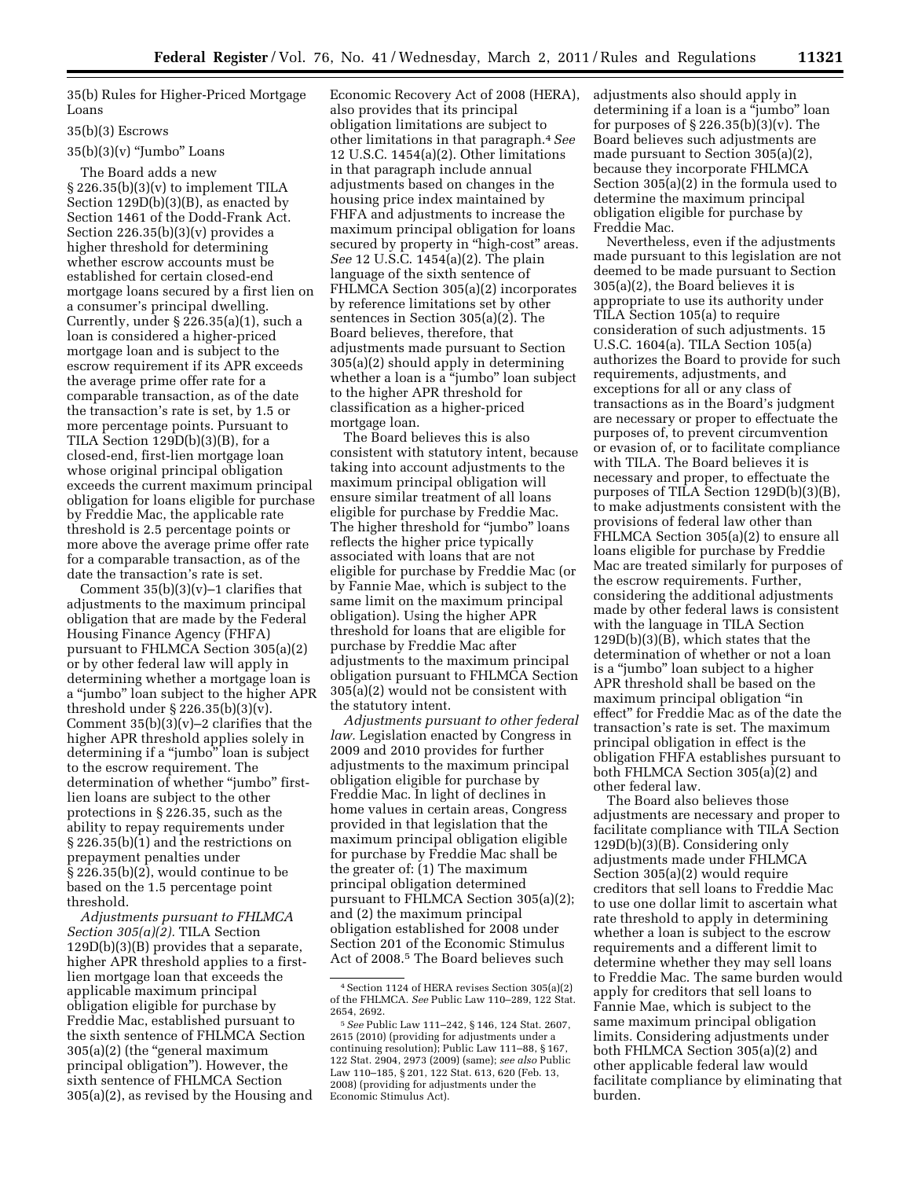35(b) Rules for Higher-Priced Mortgage Loans

## 35(b)(3) Escrows

## $35(b)(3)(v)$  "Jumbo" Loans

The Board adds a new  $\S 226.35(b)(3)(v)$  to implement TILA Section 129D(b)(3)(B), as enacted by Section 1461 of the Dodd-Frank Act. Section  $226.35(b)(3)(v)$  provides a higher threshold for determining whether escrow accounts must be established for certain closed-end mortgage loans secured by a first lien on a consumer's principal dwelling. Currently, under § 226.35(a)(1), such a loan is considered a higher-priced mortgage loan and is subject to the escrow requirement if its APR exceeds the average prime offer rate for a comparable transaction, as of the date the transaction's rate is set, by 1.5 or more percentage points. Pursuant to TILA Section  $129D(b)(3)(B)$ , for a closed-end, first-lien mortgage loan whose original principal obligation exceeds the current maximum principal obligation for loans eligible for purchase by Freddie Mac, the applicable rate threshold is 2.5 percentage points or more above the average prime offer rate for a comparable transaction, as of the date the transaction's rate is set.

Comment  $35(b)(3)(v)-1$  clarifies that adjustments to the maximum principal obligation that are made by the Federal Housing Finance Agency (FHFA) pursuant to FHLMCA Section 305(a)(2) or by other federal law will apply in determining whether a mortgage loan is a ''jumbo'' loan subject to the higher APR threshold under § 226.35(b)(3)(v). Comment  $35(b)(3)(v)-2$  clarifies that the higher APR threshold applies solely in determining if a ''jumbo'' loan is subject to the escrow requirement. The determination of whether "jumbo" firstlien loans are subject to the other protections in § 226.35, such as the ability to repay requirements under § 226.35(b)(1) and the restrictions on prepayment penalties under § 226.35(b)(2), would continue to be based on the 1.5 percentage point threshold.

*Adjustments pursuant to FHLMCA Section 305(a)(2).* TILA Section 129D(b)(3)(B) provides that a separate, higher APR threshold applies to a firstlien mortgage loan that exceeds the applicable maximum principal obligation eligible for purchase by Freddie Mac, established pursuant to the sixth sentence of FHLMCA Section 305(a)(2) (the ''general maximum principal obligation''). However, the sixth sentence of FHLMCA Section 305(a)(2), as revised by the Housing and

Economic Recovery Act of 2008 (HERA), also provides that its principal obligation limitations are subject to other limitations in that paragraph.4*See*  12 U.S.C. 1454(a)(2). Other limitations in that paragraph include annual adjustments based on changes in the housing price index maintained by FHFA and adjustments to increase the maximum principal obligation for loans secured by property in "high-cost" areas. *See* 12 U.S.C. 1454(a)(2). The plain language of the sixth sentence of FHLMCA Section 305(a)(2) incorporates by reference limitations set by other sentences in Section 305(a)(2). The Board believes, therefore, that adjustments made pursuant to Section 305(a)(2) should apply in determining whether a loan is a "jumbo" loan subject to the higher APR threshold for classification as a higher-priced mortgage loan.

The Board believes this is also consistent with statutory intent, because taking into account adjustments to the maximum principal obligation will ensure similar treatment of all loans eligible for purchase by Freddie Mac. The higher threshold for "jumbo" loans reflects the higher price typically associated with loans that are not eligible for purchase by Freddie Mac (or by Fannie Mae, which is subject to the same limit on the maximum principal obligation). Using the higher APR threshold for loans that are eligible for purchase by Freddie Mac after adjustments to the maximum principal obligation pursuant to FHLMCA Section 305(a)(2) would not be consistent with the statutory intent.

*Adjustments pursuant to other federal law.* Legislation enacted by Congress in 2009 and 2010 provides for further adjustments to the maximum principal obligation eligible for purchase by Freddie Mac. In light of declines in home values in certain areas, Congress provided in that legislation that the maximum principal obligation eligible for purchase by Freddie Mac shall be the greater of: (1) The maximum principal obligation determined pursuant to FHLMCA Section 305(a)(2); and (2) the maximum principal obligation established for 2008 under Section 201 of the Economic Stimulus Act of 2008.5 The Board believes such

adjustments also should apply in determining if a loan is a ''jumbo'' loan for purposes of  $\S 226.35(b)(3)(v)$ . The Board believes such adjustments are made pursuant to Section 305(a)(2), because they incorporate FHLMCA Section 305(a)(2) in the formula used to determine the maximum principal obligation eligible for purchase by Freddie Mac.

Nevertheless, even if the adjustments made pursuant to this legislation are not deemed to be made pursuant to Section 305(a)(2), the Board believes it is appropriate to use its authority under TILA Section 105(a) to require consideration of such adjustments. 15 U.S.C. 1604(a). TILA Section 105(a) authorizes the Board to provide for such requirements, adjustments, and exceptions for all or any class of transactions as in the Board's judgment are necessary or proper to effectuate the purposes of, to prevent circumvention or evasion of, or to facilitate compliance with TILA. The Board believes it is necessary and proper, to effectuate the purposes of TILA Section 129D(b)(3)(B), to make adjustments consistent with the provisions of federal law other than FHLMCA Section 305(a)(2) to ensure all loans eligible for purchase by Freddie Mac are treated similarly for purposes of the escrow requirements. Further, considering the additional adjustments made by other federal laws is consistent with the language in TILA Section 129D(b)(3)(B), which states that the determination of whether or not a loan is a ''jumbo'' loan subject to a higher APR threshold shall be based on the maximum principal obligation ''in effect'' for Freddie Mac as of the date the transaction's rate is set. The maximum principal obligation in effect is the obligation FHFA establishes pursuant to both FHLMCA Section 305(a)(2) and other federal law.

The Board also believes those adjustments are necessary and proper to facilitate compliance with TILA Section 129D(b)(3)(B). Considering only adjustments made under FHLMCA Section 305(a)(2) would require creditors that sell loans to Freddie Mac to use one dollar limit to ascertain what rate threshold to apply in determining whether a loan is subject to the escrow requirements and a different limit to determine whether they may sell loans to Freddie Mac. The same burden would apply for creditors that sell loans to Fannie Mae, which is subject to the same maximum principal obligation limits. Considering adjustments under both FHLMCA Section 305(a)(2) and other applicable federal law would facilitate compliance by eliminating that burden.

<sup>4</sup>Section 1124 of HERA revises Section 305(a)(2) of the FHLMCA. *See* Public Law 110–289, 122 Stat. 2654, 2692.

<sup>5</sup>*See* Public Law 111–242, § 146, 124 Stat. 2607, 2615 (2010) (providing for adjustments under a continuing resolution); Public Law 111–88, § 167, 122 Stat. 2904, 2973 (2009) (same); *see also* Public Law 110–185, § 201, 122 Stat. 613, 620 (Feb. 13, 2008) (providing for adjustments under the Economic Stimulus Act).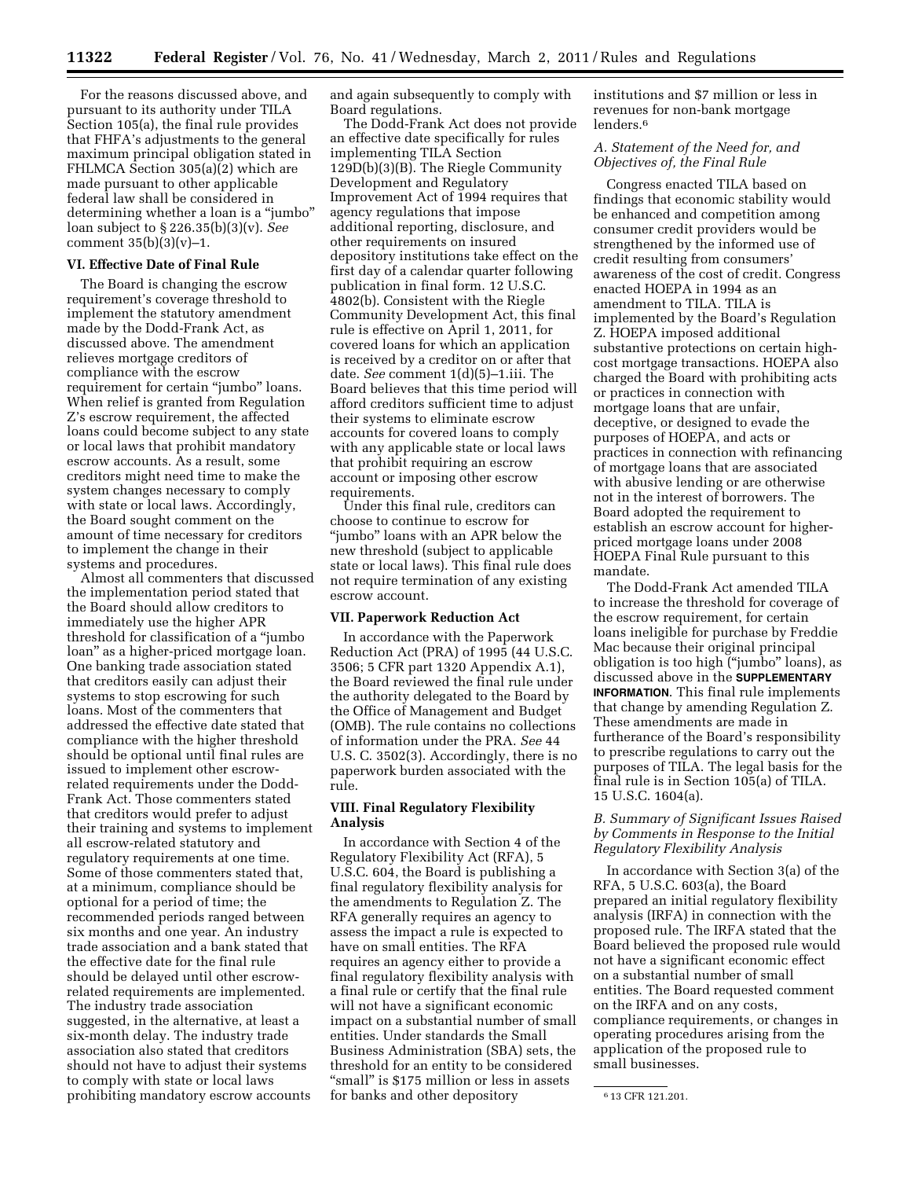For the reasons discussed above, and pursuant to its authority under TILA Section 105(a), the final rule provides that FHFA's adjustments to the general maximum principal obligation stated in FHLMCA Section 305(a)(2) which are made pursuant to other applicable federal law shall be considered in determining whether a loan is a ''jumbo'' loan subject to § 226.35(b)(3)(v). *See*  comment  $35(b)(3)(v)-1$ .

#### **VI. Effective Date of Final Rule**

The Board is changing the escrow requirement's coverage threshold to implement the statutory amendment made by the Dodd-Frank Act, as discussed above. The amendment relieves mortgage creditors of compliance with the escrow requirement for certain "jumbo" loans. When relief is granted from Regulation Z's escrow requirement, the affected loans could become subject to any state or local laws that prohibit mandatory escrow accounts. As a result, some creditors might need time to make the system changes necessary to comply with state or local laws. Accordingly, the Board sought comment on the amount of time necessary for creditors to implement the change in their systems and procedures.

Almost all commenters that discussed the implementation period stated that the Board should allow creditors to immediately use the higher APR threshold for classification of a ''jumbo loan'' as a higher-priced mortgage loan. One banking trade association stated that creditors easily can adjust their systems to stop escrowing for such loans. Most of the commenters that addressed the effective date stated that compliance with the higher threshold should be optional until final rules are issued to implement other escrowrelated requirements under the Dodd-Frank Act. Those commenters stated that creditors would prefer to adjust their training and systems to implement all escrow-related statutory and regulatory requirements at one time. Some of those commenters stated that, at a minimum, compliance should be optional for a period of time; the recommended periods ranged between six months and one year. An industry trade association and a bank stated that the effective date for the final rule should be delayed until other escrowrelated requirements are implemented. The industry trade association suggested, in the alternative, at least a six-month delay. The industry trade association also stated that creditors should not have to adjust their systems to comply with state or local laws prohibiting mandatory escrow accounts

and again subsequently to comply with Board regulations.

The Dodd-Frank Act does not provide an effective date specifically for rules implementing TILA Section 129D(b)(3)(B). The Riegle Community Development and Regulatory Improvement Act of 1994 requires that agency regulations that impose additional reporting, disclosure, and other requirements on insured depository institutions take effect on the first day of a calendar quarter following publication in final form. 12 U.S.C. 4802(b). Consistent with the Riegle Community Development Act, this final rule is effective on April 1, 2011, for covered loans for which an application is received by a creditor on or after that date. *See* comment 1(d)(5)–1.iii. The Board believes that this time period will afford creditors sufficient time to adjust their systems to eliminate escrow accounts for covered loans to comply with any applicable state or local laws that prohibit requiring an escrow account or imposing other escrow requirements.

Under this final rule, creditors can choose to continue to escrow for ''jumbo'' loans with an APR below the new threshold (subject to applicable state or local laws). This final rule does not require termination of any existing escrow account.

#### **VII. Paperwork Reduction Act**

In accordance with the Paperwork Reduction Act (PRA) of 1995 (44 U.S.C. 3506; 5 CFR part 1320 Appendix A.1), the Board reviewed the final rule under the authority delegated to the Board by the Office of Management and Budget (OMB). The rule contains no collections of information under the PRA. *See* 44 U.S. C. 3502(3). Accordingly, there is no paperwork burden associated with the rule.

# **VIII. Final Regulatory Flexibility Analysis**

In accordance with Section 4 of the Regulatory Flexibility Act (RFA), 5 U.S.C. 604, the Board is publishing a final regulatory flexibility analysis for the amendments to Regulation Z. The RFA generally requires an agency to assess the impact a rule is expected to have on small entities. The RFA requires an agency either to provide a final regulatory flexibility analysis with a final rule or certify that the final rule will not have a significant economic impact on a substantial number of small entities. Under standards the Small Business Administration (SBA) sets, the threshold for an entity to be considered "small" is \$175 million or less in assets for banks and other depository

institutions and \$7 million or less in revenues for non-bank mortgage lenders.6

## *A. Statement of the Need for, and Objectives of, the Final Rule*

Congress enacted TILA based on findings that economic stability would be enhanced and competition among consumer credit providers would be strengthened by the informed use of credit resulting from consumers' awareness of the cost of credit. Congress enacted HOEPA in 1994 as an amendment to TILA. TILA is implemented by the Board's Regulation Z. HOEPA imposed additional substantive protections on certain highcost mortgage transactions. HOEPA also charged the Board with prohibiting acts or practices in connection with mortgage loans that are unfair, deceptive, or designed to evade the purposes of HOEPA, and acts or practices in connection with refinancing of mortgage loans that are associated with abusive lending or are otherwise not in the interest of borrowers. The Board adopted the requirement to establish an escrow account for higherpriced mortgage loans under 2008 HOEPA Final Rule pursuant to this mandate.

The Dodd-Frank Act amended TILA to increase the threshold for coverage of the escrow requirement, for certain loans ineligible for purchase by Freddie Mac because their original principal obligation is too high (''jumbo'' loans), as discussed above in the **SUPPLEMENTARY INFORMATION**. This final rule implements that change by amending Regulation Z. These amendments are made in furtherance of the Board's responsibility to prescribe regulations to carry out the purposes of TILA. The legal basis for the final rule is in Section 105(a) of TILA. 15 U.S.C. 1604(a).

# *B. Summary of Significant Issues Raised by Comments in Response to the Initial Regulatory Flexibility Analysis*

In accordance with Section 3(a) of the RFA, 5 U.S.C. 603(a), the Board prepared an initial regulatory flexibility analysis (IRFA) in connection with the proposed rule. The IRFA stated that the Board believed the proposed rule would not have a significant economic effect on a substantial number of small entities. The Board requested comment on the IRFA and on any costs, compliance requirements, or changes in operating procedures arising from the application of the proposed rule to small businesses.

<sup>6</sup> 13 CFR 121.201.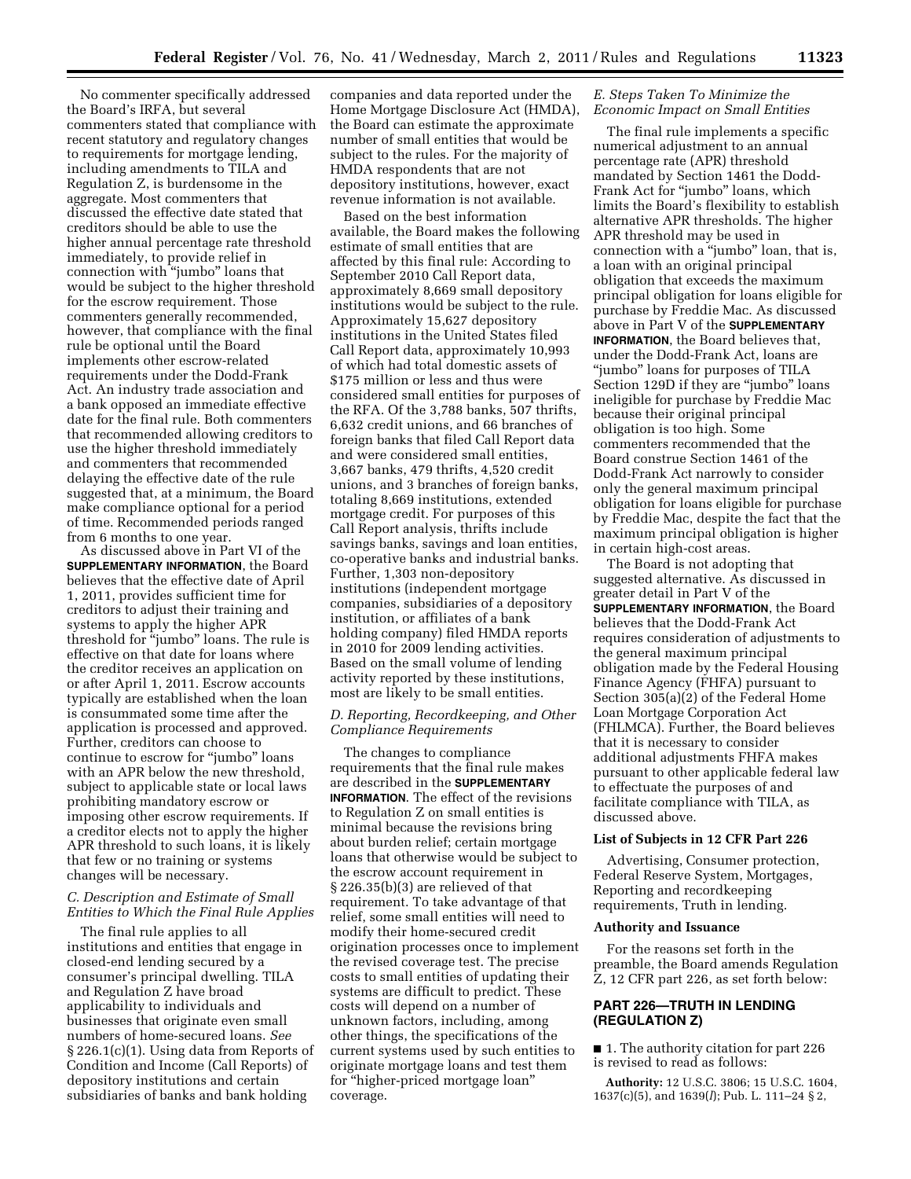No commenter specifically addressed the Board's IRFA, but several commenters stated that compliance with recent statutory and regulatory changes to requirements for mortgage lending, including amendments to TILA and Regulation Z, is burdensome in the aggregate. Most commenters that discussed the effective date stated that creditors should be able to use the higher annual percentage rate threshold immediately, to provide relief in connection with ''jumbo'' loans that would be subject to the higher threshold for the escrow requirement. Those commenters generally recommended, however, that compliance with the final rule be optional until the Board implements other escrow-related requirements under the Dodd-Frank Act. An industry trade association and a bank opposed an immediate effective date for the final rule. Both commenters that recommended allowing creditors to use the higher threshold immediately and commenters that recommended delaying the effective date of the rule suggested that, at a minimum, the Board make compliance optional for a period of time. Recommended periods ranged from 6 months to one year.

As discussed above in Part VI of the **SUPPLEMENTARY INFORMATION**, the Board believes that the effective date of April 1, 2011, provides sufficient time for creditors to adjust their training and systems to apply the higher APR threshold for ''jumbo'' loans. The rule is effective on that date for loans where the creditor receives an application on or after April 1, 2011. Escrow accounts typically are established when the loan is consummated some time after the application is processed and approved. Further, creditors can choose to continue to escrow for ''jumbo'' loans with an APR below the new threshold, subject to applicable state or local laws prohibiting mandatory escrow or imposing other escrow requirements. If a creditor elects not to apply the higher APR threshold to such loans, it is likely that few or no training or systems changes will be necessary.

## *C. Description and Estimate of Small Entities to Which the Final Rule Applies*

The final rule applies to all institutions and entities that engage in closed-end lending secured by a consumer's principal dwelling. TILA and Regulation Z have broad applicability to individuals and businesses that originate even small numbers of home-secured loans. *See*  § 226.1(c)(1). Using data from Reports of Condition and Income (Call Reports) of depository institutions and certain subsidiaries of banks and bank holding

companies and data reported under the Home Mortgage Disclosure Act (HMDA), the Board can estimate the approximate number of small entities that would be subject to the rules. For the majority of HMDA respondents that are not depository institutions, however, exact revenue information is not available.

Based on the best information available, the Board makes the following estimate of small entities that are affected by this final rule: According to September 2010 Call Report data, approximately 8,669 small depository institutions would be subject to the rule. Approximately 15,627 depository institutions in the United States filed Call Report data, approximately 10,993 of which had total domestic assets of \$175 million or less and thus were considered small entities for purposes of the RFA. Of the 3,788 banks, 507 thrifts, 6,632 credit unions, and 66 branches of foreign banks that filed Call Report data and were considered small entities, 3,667 banks, 479 thrifts, 4,520 credit unions, and 3 branches of foreign banks, totaling 8,669 institutions, extended mortgage credit. For purposes of this Call Report analysis, thrifts include savings banks, savings and loan entities, co-operative banks and industrial banks. Further, 1,303 non-depository institutions (independent mortgage companies, subsidiaries of a depository institution, or affiliates of a bank holding company) filed HMDA reports in 2010 for 2009 lending activities. Based on the small volume of lending activity reported by these institutions, most are likely to be small entities.

### *D. Reporting, Recordkeeping, and Other Compliance Requirements*

The changes to compliance requirements that the final rule makes are described in the **SUPPLEMENTARY INFORMATION**. The effect of the revisions to Regulation Z on small entities is minimal because the revisions bring about burden relief; certain mortgage loans that otherwise would be subject to the escrow account requirement in § 226.35(b)(3) are relieved of that requirement. To take advantage of that relief, some small entities will need to modify their home-secured credit origination processes once to implement the revised coverage test. The precise costs to small entities of updating their systems are difficult to predict. These costs will depend on a number of unknown factors, including, among other things, the specifications of the current systems used by such entities to originate mortgage loans and test them for ''higher-priced mortgage loan'' coverage.

## *E. Steps Taken To Minimize the Economic Impact on Small Entities*

The final rule implements a specific numerical adjustment to an annual percentage rate (APR) threshold mandated by Section 1461 the Dodd-Frank Act for "jumbo" loans, which limits the Board's flexibility to establish alternative APR thresholds. The higher APR threshold may be used in connection with a "jumbo" loan, that is, a loan with an original principal obligation that exceeds the maximum principal obligation for loans eligible for purchase by Freddie Mac. As discussed above in Part V of the **SUPPLEMENTARY INFORMATION**, the Board believes that, under the Dodd-Frank Act, loans are ''jumbo'' loans for purposes of TILA Section 129D if they are ''jumbo'' loans ineligible for purchase by Freddie Mac because their original principal obligation is too high. Some commenters recommended that the Board construe Section 1461 of the Dodd-Frank Act narrowly to consider only the general maximum principal obligation for loans eligible for purchase by Freddie Mac, despite the fact that the maximum principal obligation is higher in certain high-cost areas.

The Board is not adopting that suggested alternative. As discussed in greater detail in Part V of the **SUPPLEMENTARY INFORMATION**, the Board believes that the Dodd-Frank Act requires consideration of adjustments to the general maximum principal obligation made by the Federal Housing Finance Agency (FHFA) pursuant to Section 305(a)(2) of the Federal Home Loan Mortgage Corporation Act (FHLMCA). Further, the Board believes that it is necessary to consider additional adjustments FHFA makes pursuant to other applicable federal law to effectuate the purposes of and facilitate compliance with TILA, as discussed above.

#### **List of Subjects in 12 CFR Part 226**

Advertising, Consumer protection, Federal Reserve System, Mortgages, Reporting and recordkeeping requirements, Truth in lending.

#### **Authority and Issuance**

For the reasons set forth in the preamble, the Board amends Regulation Z, 12 CFR part 226, as set forth below:

# **PART 226—TRUTH IN LENDING (REGULATION Z)**

■ 1. The authority citation for part 226 is revised to read as follows:

**Authority:** 12 U.S.C. 3806; 15 U.S.C. 1604, 1637(c)(5), and 1639(*l*); Pub. L. 111–24 § 2,